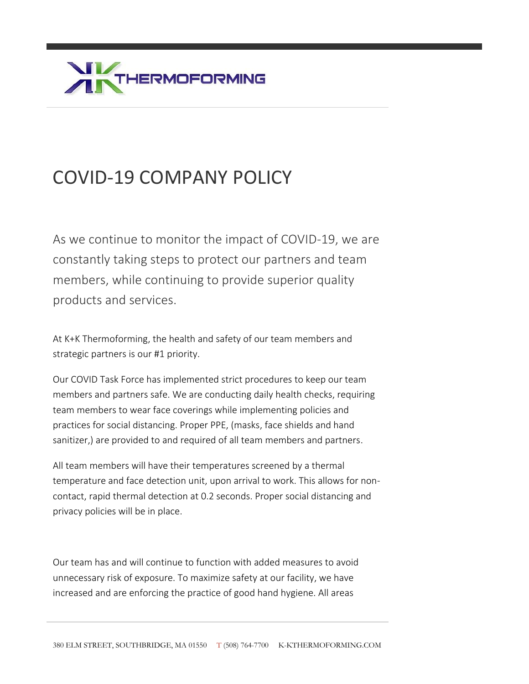

## COVID-19 COMPANY POLICY

As we continue to monitor the impact of COVID-19, we are constantly taking steps to protect our partners and team members, while continuing to provide superior quality products and services.

At K+K Thermoforming, the health and safety of our team members and strategic partners is our #1 priority.

Our COVID Task Force has implemented strict procedures to keep our team members and partners safe. We are conducting daily health checks, requiring team members to wear face coverings while implementing policies and practices for social distancing. Proper PPE, (masks, face shields and hand sanitizer,) are provided to and required of all team members and partners.

All team members will have their temperatures screened by a thermal temperature and face detection unit, upon arrival to work. This allows for noncontact, rapid thermal detection at 0.2 seconds. Proper social distancing and privacy policies will be in place.

Our team has and will continue to function with added measures to avoid unnecessary risk of exposure. To maximize safety at our facility, we have increased and are enforcing the practice of good hand hygiene. All areas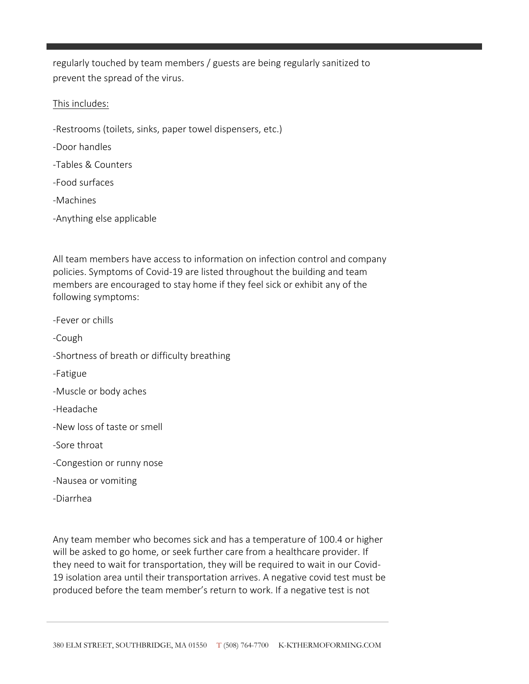regularly touched by team members / guests are being regularly sanitized to prevent the spread of the virus.

## This includes:

- -Restrooms (toilets, sinks, paper towel dispensers, etc.)
- -Door handles
- -Tables & Counters
- -Food surfaces
- -Machines
- -Anything else applicable

All team members have access to information on infection control and company policies. Symptoms of Covid-19 are listed throughout the building and team members are encouraged to stay home if they feel sick or exhibit any of the following symptoms:

- -Fever or chills
- -Cough
- -Shortness of breath or difficulty breathing
- -Fatigue
- -Muscle or body aches
- -Headache
- -New loss of taste or smell
- -Sore throat
- -Congestion or runny nose
- -Nausea or vomiting
- -Diarrhea

Any team member who becomes sick and has a temperature of 100.4 or higher will be asked to go home, or seek further care from a healthcare provider. If they need to wait for transportation, they will be required to wait in our Covid-19 isolation area until their transportation arrives. A negative covid test must be produced before the team member's return to work. If a negative test is not